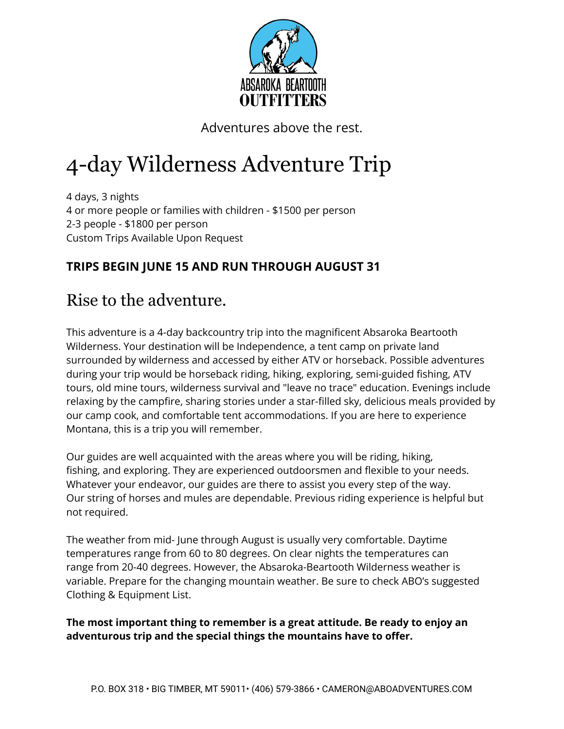

Adventures above the rest.

# 4-day Wilderness Adventure Trip

4 days, 3 nights 4 or more people or families with children - \$1500 per person 2-3 people - \$1800 per person Custom Trips Available Upon Request

### **TRIPS BEGIN JUNE 15 AND RUN THROUGH AUGUST 31**

### Rise to the adventure.

This adventure is a 4-day backcountry trip into the magnificent Absaroka Beartooth Wilderness. Your destination will be Independence, a tent camp on private land surrounded by wilderness and accessed by either ATV or horseback. Possible adventures during your trip would be horseback riding, hiking, exploring, semi-guided fishing, ATV tours, old mine tours, wilderness survival and "leave no trace" education. Evenings include relaxing by the campfire, sharing stories under a star-filled sky, delicious meals provided by our camp cook, and comfortable tent accommodations. If you are here to experience Montana, this is a trip you will remember.

Our guides are well acquainted with the areas where you will be riding, hiking, fishing, and exploring. They are experienced outdoorsmen and flexible to your needs. Whatever your endeavor, our guides are there to assist you every step of the way. Our string of horses and mules are dependable. Previous riding experience is helpful but not required.

The weather from mid- June through August is usually very comfortable. Daytime temperatures range from 60 to 80 degrees. On clear nights the temperatures can range from 20-40 degrees. However, the Absaroka-Beartooth Wilderness weather is variable. Prepare for the changing mountain weather. Be sure to check ABO's suggested Clothing & Equipment List.

**The most important thing to remember is a great attitude. Be ready to enjoy an adventurous trip and the special things the mountains have to offer.**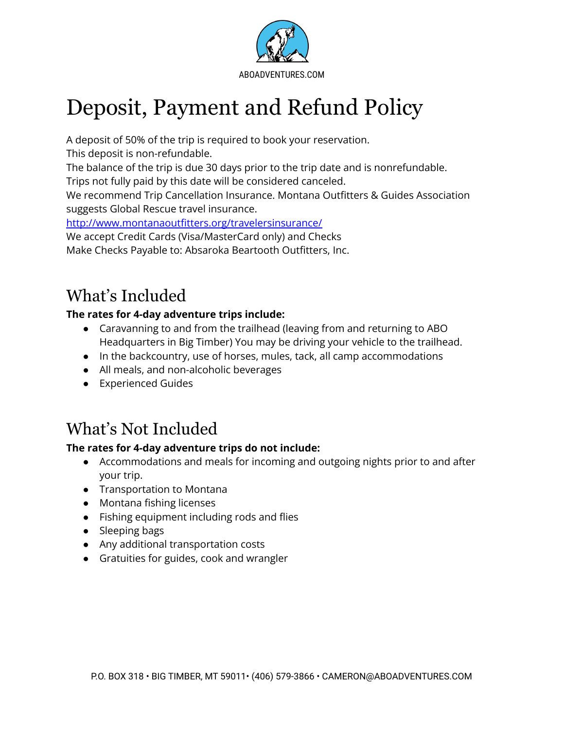

# Deposit, Payment and Refund Policy

A deposit of 50% of the trip is required to book your reservation.

This deposit is non-refundable.

The balance of the trip is due 30 days prior to the trip date and is nonrefundable.

Trips not fully paid by this date will be considered canceled.

We recommend Trip Cancellation Insurance. Montana Outfitters & Guides Association suggests Global Rescue travel insurance.

<http://www.montanaoutfitters.org/travelersinsurance/>

We accept Credit Cards (Visa/MasterCard only) and Checks

Make Checks Payable to: Absaroka Beartooth Outfitters, Inc.

## What's Included

#### **The rates for 4-day adventure trips include:**

- Caravanning to and from the trailhead (leaving from and returning to ABO Headquarters in Big Timber) You may be driving your vehicle to the trailhead.
- In the backcountry, use of horses, mules, tack, all camp accommodations
- All meals, and non-alcoholic beverages
- Experienced Guides

## What's Not Included

### **The rates for 4-day adventure trips do not include:**

- Accommodations and meals for incoming and outgoing nights prior to and after your trip.
- Transportation to Montana
- Montana fishing licenses
- Fishing equipment including rods and flies
- Sleeping bags
- Any additional transportation costs
- Gratuities for guides, cook and wrangler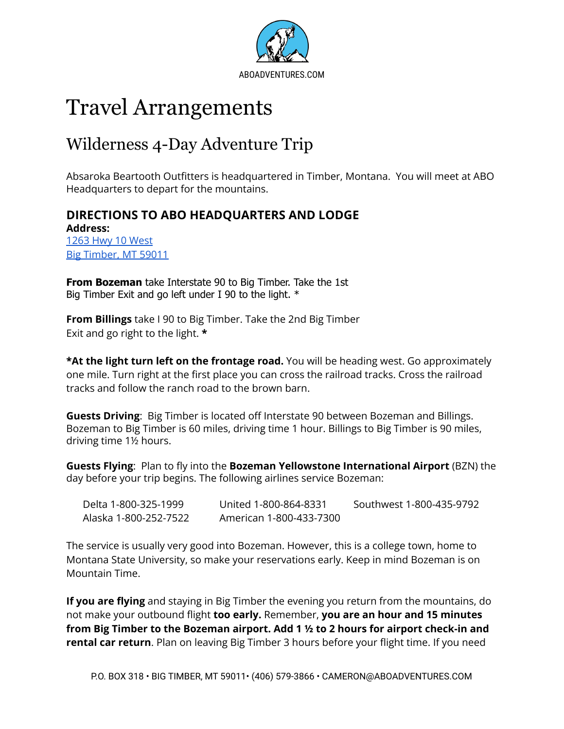

# Travel Arrangements

### Wilderness 4-Day Adventure Trip

Absaroka Beartooth Outfitters is headquartered in Timber, Montana. You will meet at ABO Headquarters to depart for the mountains.

### **DIRECTIONS TO ABO HEADQUARTERS AND LODGE**

**Address:** 1263 Hwy 10 [West](https://www.google.com/maps/place/1263+Hwy+10+W,+Big+Timber,+MT+59011/@45.823528,-109.9893487,17z/data=!3m1!4b1!4m5!3m4!1s0x5345f27bbc27b54f:0xe6d25d9c9907cae0!8m2!3d45.823528!4d-109.98716) Big [Timber,](https://www.google.com/maps/place/1263+Hwy+10+W,+Big+Timber,+MT+59011/@45.823528,-109.9893487,17z/data=!3m1!4b1!4m5!3m4!1s0x5345f27bbc27b54f:0xe6d25d9c9907cae0!8m2!3d45.823528!4d-109.98716) MT 59011

**From Bozeman** take Interstate 90 to Big Timber. Take the 1st Big Timber Exit and go left under I 90 to the light. \*

**From Billings** take I 90 to Big Timber. Take the 2nd Big Timber Exit and go right to the light. **\***

**\*At the light turn left on the frontage road.** You will be heading west. Go approximately one mile. Turn right at the first place you can cross the railroad tracks. Cross the railroad tracks and follow the ranch road to the brown barn.

**Guests Driving**: Big Timber is located off Interstate 90 between Bozeman and Billings. Bozeman to Big Timber is 60 miles, driving time 1 hour. Billings to Big Timber is 90 miles, driving time 1½ hours.

**Guests Flying**: Plan to fly into the **Bozeman Yellowstone International Airport** (BZN) the day before your trip begins. The following airlines service Bozeman:

| Delta 1-800-325-1999  | United 1-800-864-8331   | Southwest 1-800-435-9792 |
|-----------------------|-------------------------|--------------------------|
| Alaska 1-800-252-7522 | American 1-800-433-7300 |                          |

The service is usually very good into Bozeman. However, this is a college town, home to Montana State University, so make your reservations early. Keep in mind Bozeman is on Mountain Time.

**If you are flying** and staying in Big Timber the evening you return from the mountains, do not make your outbound flight **too early.** Remember, **you are an hour and 15 minutes from Big Timber to the Bozeman airport. Add 1 ½ to 2 hours for airport check-in and rental car return**. Plan on leaving Big Timber 3 hours before your flight time. If you need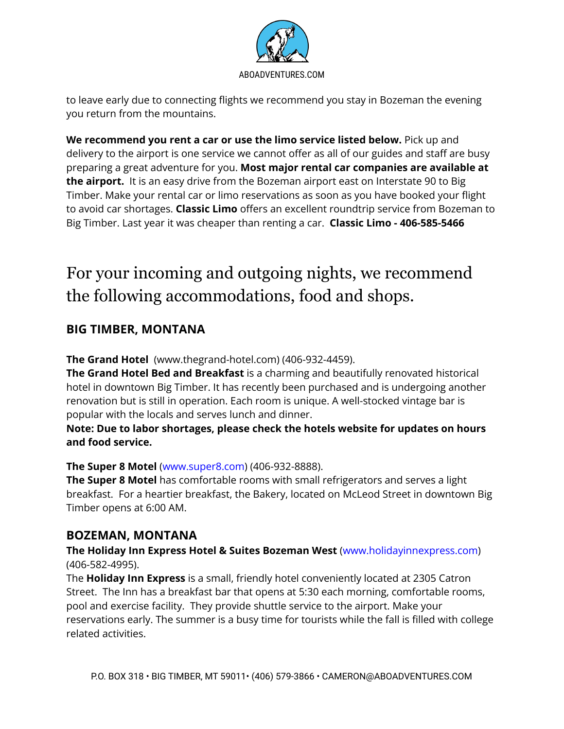

to leave early due to connecting flights we recommend you stay in Bozeman the evening you return from the mountains.

**We recommend you rent a car or use the limo service listed below.** Pick up and delivery to the airport is one service we cannot offer as all of our guides and staff are busy preparing a great adventure for you. **Most major rental car companies are available at the airport.** It is an easy drive from the Bozeman airport east on Interstate 90 to Big Timber. Make your rental car or limo reservations as soon as you have booked your flight to avoid car shortages. **Classic Limo** offers an excellent roundtrip service from Bozeman to Big Timber. Last year it was cheaper than renting a car. **Classic Limo - 406-585-5466**

## For your incoming and outgoing nights, we recommend the following accommodations, food and shops.

### **BIG TIMBER, MONTANA**

**The Grand Hotel** (www.thegrand-hotel.com) (406-932-4459).

**The Grand Hotel Bed and Breakfast** is a charming and beautifully renovated historical hotel in downtown Big Timber. It has recently been purchased and is undergoing another renovation but is still in operation. Each room is unique. A well-stocked vintage bar is popular with the locals and serves lunch and dinner.

**Note: Due to labor shortages, please check the hotels website for updates on hours and food service.**

#### **The Super 8 Motel** (www.super8.com) (406-932-8888).

**The Super 8 Motel** has comfortable rooms with small refrigerators and serves a light breakfast. For a heartier breakfast, the Bakery, located on McLeod Street in downtown Big Timber opens at 6:00 AM.

#### **BOZEMAN, MONTANA**

**The Holiday Inn Express Hotel & Suites Bozeman West** (www.holidayinnexpress.com) (406-582-4995).

The **Holiday Inn Express** is a small, friendly hotel conveniently located at 2305 Catron Street. The Inn has a breakfast bar that opens at 5:30 each morning, comfortable rooms, pool and exercise facility. They provide shuttle service to the airport. Make your reservations early. The summer is a busy time for tourists while the fall is filled with college related activities.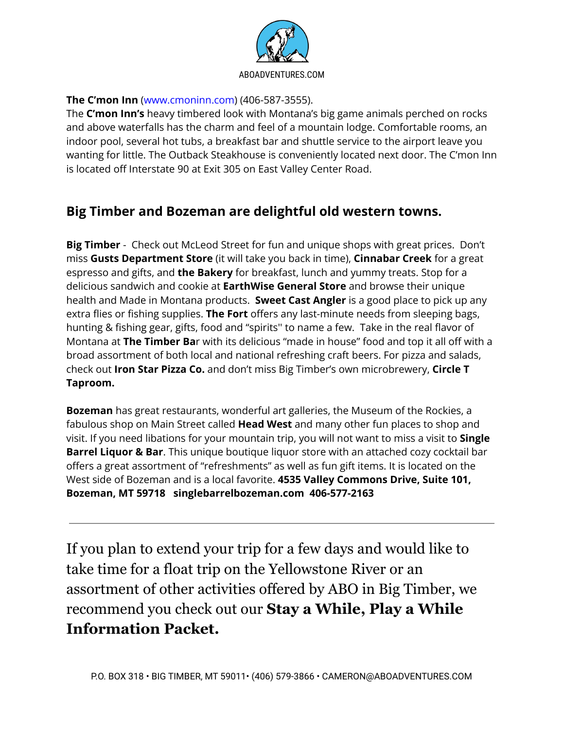

#### **The C'mon Inn** (www.cmoninn.com) (406-587-3555).

The **C'mon Inn's** heavy timbered look with Montana's big game animals perched on rocks and above waterfalls has the charm and feel of a mountain lodge. Comfortable rooms, an indoor pool, several hot tubs, a breakfast bar and shuttle service to the airport leave you wanting for little. The Outback Steakhouse is conveniently located next door. The C'mon Inn is located off Interstate 90 at Exit 305 on East Valley Center Road.

### **Big Timber and Bozeman are delightful old western towns.**

**Big Timber** - Check out McLeod Street for fun and unique shops with great prices. Don't miss **Gusts Department Store** (it will take you back in time), **Cinnabar Creek** for a great espresso and gifts, and **the Bakery** for breakfast, lunch and yummy treats. Stop for a delicious sandwich and cookie at **EarthWise General Store** and browse their unique health and Made in Montana products. **Sweet Cast Angler** is a good place to pick up any extra flies or fishing supplies. **The Fort** offers any last-minute needs from sleeping bags, hunting & fishing gear, gifts, food and "spirits'' to name a few. Take in the real flavor of Montana at **The Timber Ba**r with its delicious "made in house" food and top it all off with a broad assortment of both local and national refreshing craft beers. For pizza and salads, check out **Iron Star Pizza Co.** and don't miss Big Timber's own microbrewery, **Circle T Taproom.**

**Bozeman** has great restaurants, wonderful art galleries, the Museum of the Rockies, a fabulous shop on Main Street called **Head West** and many other fun places to shop and visit. If you need libations for your mountain trip, you will not want to miss a visit to **Single Barrel Liquor & Bar**. This unique boutique liquor store with an attached cozy cocktail bar offers a great assortment of "refreshments" as well as fun gift items. It is located on the West side of Bozeman and is a local favorite. **4535 Valley Commons Drive, Suite 101, Bozeman, MT 59718 singlebarrelbozeman.com 406-577-2163**

If you plan to extend your trip for a few days and would like to take time for a float trip on the Yellowstone River or an assortment of other activities offered by ABO in Big Timber, we recommend you check out our **Stay a While, Play a While Information Packet.**